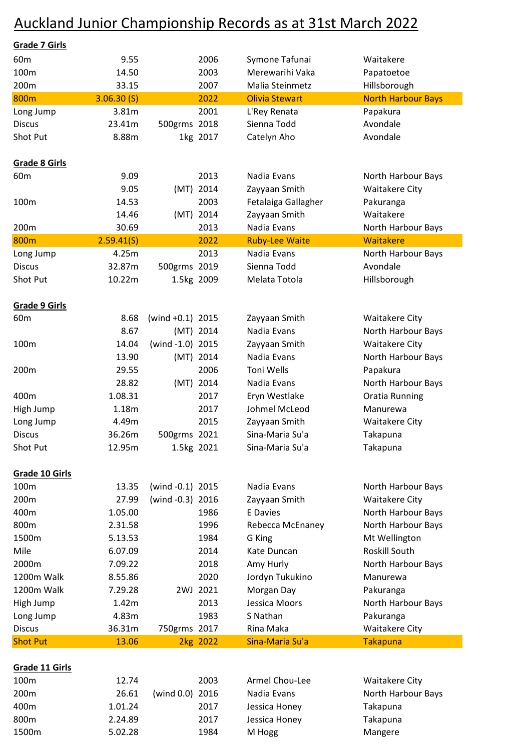## Auckland Junior Championship Records as at 31st March 2022

| <b>Grade 7 Girls</b> |            |                     |            |                       |                           |
|----------------------|------------|---------------------|------------|-----------------------|---------------------------|
| 60 <sub>m</sub>      | 9.55       |                     | 2006       | Symone Tafunai        | Waitakere                 |
| 100m                 | 14.50      |                     | 2003       | Merewarihi Vaka       | Papatoetoe                |
| 200m                 | 33.15      |                     | 2007       | Malia Steinmetz       | Hillsborough              |
| 800m                 | 3.06.30(S) |                     | 2022       | <b>Olivia Stewart</b> | <b>North Harbour Bays</b> |
| Long Jump            | 3.81m      |                     | 2001       | L'Rey Renata          | Papakura                  |
| <b>Discus</b>        | 23.41m     | 500grms 2018        |            | Sienna Todd           | Avondale                  |
| Shot Put             | 8.88m      |                     | 1kg 2017   | Catelyn Aho           | Avondale                  |
|                      |            |                     |            |                       |                           |
| <b>Grade 8 Girls</b> |            |                     |            |                       |                           |
| 60 <sub>m</sub>      | 9.09       |                     | 2013       | Nadia Evans           | North Harbour Bays        |
|                      | 9.05       |                     | (MT) 2014  | Zayyaan Smith         | <b>Waitakere City</b>     |
| 100m                 | 14.53      |                     | 2003       | Fetalaiga Gallagher   | Pakuranga                 |
|                      | 14.46      |                     | (MT) 2014  | Zayyaan Smith         | Waitakere                 |
| 200m                 | 30.69      |                     | 2013       | Nadia Evans           | North Harbour Bays        |
| 800m                 | 2.59.41(S) |                     | 2022       | <b>Ruby-Lee Waite</b> | Waitakere                 |
| Long Jump            | 4.25m      |                     | 2013       | Nadia Evans           | North Harbour Bays        |
| <b>Discus</b>        | 32.87m     | 500grms 2019        |            | Sienna Todd           | Avondale                  |
| Shot Put             | 10.22m     | 1.5kg 2009          |            | Melata Totola         | Hillsborough              |
| Grade 9 Girls        |            |                     |            |                       |                           |
| 60 <sub>m</sub>      | 8.68       | (wind $+0.1$ ) 2015 |            | Zayyaan Smith         | <b>Waitakere City</b>     |
|                      | 8.67       |                     | (MT) 2014  | Nadia Evans           | North Harbour Bays        |
| 100m                 | 14.04      | (wind -1.0) 2015    |            | Zayyaan Smith         | <b>Waitakere City</b>     |
|                      | 13.90      |                     | (MT) 2014  | Nadia Evans           | North Harbour Bays        |
| 200m                 | 29.55      |                     | 2006       | Toni Wells            | Papakura                  |
|                      | 28.82      |                     | (MT) 2014  | Nadia Evans           | North Harbour Bays        |
| 400m                 | 1.08.31    |                     | 2017       | Eryn Westlake         | <b>Oratia Running</b>     |
| High Jump            | 1.18m      |                     | 2017       | Johmel McLeod         | Manurewa                  |
| Long Jump            | 4.49m      |                     | 2015       | Zayyaan Smith         | <b>Waitakere City</b>     |
| <b>Discus</b>        | 36.26m     | 500grms 2021        |            | Sina-Maria Su'a       | Takapuna                  |
| Shot Put             | 12.95m     |                     | 1.5kg 2021 | Sina-Maria Su'a       | Takapuna                  |
|                      |            |                     |            |                       |                           |
| Grade 10 Girls       |            |                     |            |                       |                           |
| 100m                 | 13.35      | (wind -0.1) 2015    |            | Nadia Evans           | North Harbour Bays        |
| 200m                 | 27.99      | (wind -0.3) 2016    |            | Zayyaan Smith         | <b>Waitakere City</b>     |
| 400m                 | 1.05.00    |                     | 1986       | <b>E</b> Davies       | North Harbour Bays        |
| 800m                 | 2.31.58    |                     | 1996       | Rebecca McEnaney      | North Harbour Bays        |
| 1500m                | 5.13.53    |                     | 1984       | G King                | Mt Wellington             |
| Mile                 | 6.07.09    |                     | 2014       | Kate Duncan           | Roskill South             |
| 2000m                | 7.09.22    |                     | 2018       | Amy Hurly             | North Harbour Bays        |
| 1200m Walk           | 8.55.86    |                     | 2020       | Jordyn Tukukino       | Manurewa                  |
| 1200m Walk           | 7.29.28    |                     | 2WJ 2021   | Morgan Day            | Pakuranga                 |
| High Jump            | 1.42m      |                     | 2013       | Jessica Moors         | North Harbour Bays        |
| Long Jump            | 4.83m      |                     | 1983       | S Nathan              | Pakuranga                 |
| <b>Discus</b>        | 36.31m     | 750grms 2017        |            | Rina Maka             | <b>Waitakere City</b>     |
| <b>Shot Put</b>      | 13.06      |                     | 2kg 2022   | Sina-Maria Su'a       | <b>Takapuna</b>           |
| Grade 11 Girls       |            |                     |            |                       |                           |
| 100m                 | 12.74      |                     | 2003       | Armel Chou-Lee        | <b>Waitakere City</b>     |
| 200m                 | 26.61      | (wind $0.0$ )       | 2016       | Nadia Evans           | North Harbour Bays        |
| 400m                 | 1.01.24    |                     | 2017       | Jessica Honey         | Takapuna                  |
| 800m                 | 2.24.89    |                     | 2017       | Jessica Honey         | Takapuna                  |
|                      |            |                     |            |                       |                           |

1500m 5.02.28 1984 M Hogg Mangere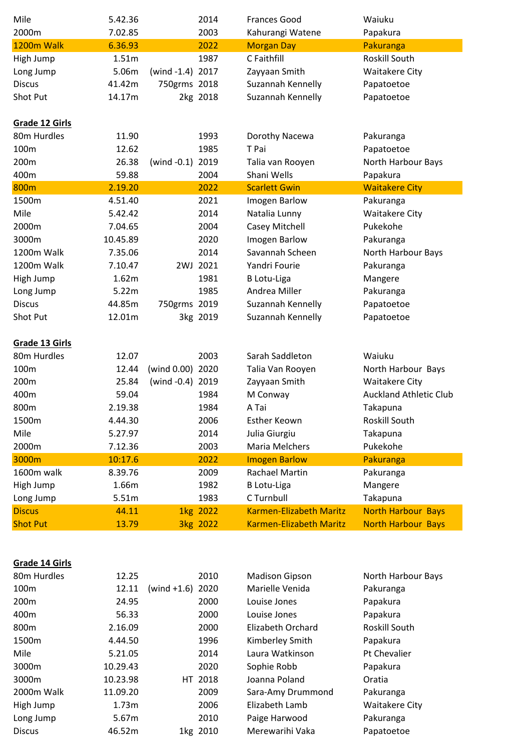| Mile            | 5.42.36  |                  | 2014     | <b>Frances Good</b>            | Waiuku                        |
|-----------------|----------|------------------|----------|--------------------------------|-------------------------------|
| 2000m           | 7.02.85  |                  | 2003     | Kahurangi Watene               | Papakura                      |
| 1200m Walk      | 6.36.93  |                  | 2022     | <b>Morgan Day</b>              | Pakuranga                     |
| High Jump       | 1.51m    |                  | 1987     | C Faithfill                    | Roskill South                 |
| Long Jump       | 5.06m    | (wind -1.4) 2017 |          | Zayyaan Smith                  | <b>Waitakere City</b>         |
| <b>Discus</b>   | 41.42m   | 750grms 2018     |          | Suzannah Kennelly              | Papatoetoe                    |
| Shot Put        | 14.17m   |                  | 2kg 2018 | Suzannah Kennelly              | Papatoetoe                    |
| Grade 12 Girls  |          |                  |          |                                |                               |
| 80m Hurdles     | 11.90    |                  | 1993     | Dorothy Nacewa                 | Pakuranga                     |
| 100m            | 12.62    |                  | 1985     | T Pai                          | Papatoetoe                    |
| 200m            | 26.38    | (wind $-0.1$ )   | 2019     | Talia van Rooyen               | North Harbour Bays            |
| 400m            | 59.88    |                  | 2004     | Shani Wells                    | Papakura                      |
| 800m            | 2.19.20  |                  | 2022     | <b>Scarlett Gwin</b>           | <b>Waitakere City</b>         |
| 1500m           | 4.51.40  |                  | 2021     | Imogen Barlow                  | Pakuranga                     |
| Mile            | 5.42.42  |                  | 2014     | Natalia Lunny                  | <b>Waitakere City</b>         |
| 2000m           | 7.04.65  |                  | 2004     | Casey Mitchell                 | Pukekohe                      |
| 3000m           | 10.45.89 |                  | 2020     | Imogen Barlow                  | Pakuranga                     |
| 1200m Walk      | 7.35.06  |                  | 2014     | Savannah Scheen                | North Harbour Bays            |
| 1200m Walk      | 7.10.47  |                  | 2WJ 2021 | Yandri Fourie                  | Pakuranga                     |
| High Jump       | 1.62m    |                  | 1981     | <b>B</b> Lotu-Liga             | Mangere                       |
| Long Jump       | 5.22m    |                  | 1985     | Andrea Miller                  | Pakuranga                     |
| <b>Discus</b>   | 44.85m   | 750grms 2019     |          | Suzannah Kennelly              | Papatoetoe                    |
| Shot Put        | 12.01m   |                  | 3kg 2019 | Suzannah Kennelly              | Papatoetoe                    |
| Grade 13 Girls  |          |                  |          |                                |                               |
| 80m Hurdles     | 12.07    |                  | 2003     | Sarah Saddleton                | Waiuku                        |
| 100m            | 12.44    | (wind 0.00) 2020 |          | Talia Van Rooyen               | North Harbour Bays            |
| 200m            | 25.84    | (wind -0.4) 2019 |          | Zayyaan Smith                  | <b>Waitakere City</b>         |
| 400m            | 59.04    |                  | 1984     | M Conway                       | <b>Auckland Athletic Club</b> |
| 800m            | 2.19.38  |                  | 1984     | A Tai                          | Takapuna                      |
| 1500m           | 4.44.30  |                  | 2006     | Esther Keown                   | Roskill South                 |
| Mile            | 5.27.97  |                  | 2014     | Julia Giurgiu                  | Takapuna                      |
| 2000m           | 7.12.36  |                  | 2003     | Maria Melchers                 | Pukekohe                      |
| 3000m           | 10:17.6  |                  | 2022     | <b>Imogen Barlow</b>           | Pakuranga                     |
| 1600m walk      | 8.39.76  |                  | 2009     | Rachael Martin                 | Pakuranga                     |
| High Jump       | 1.66m    |                  | 1982     | <b>B</b> Lotu-Liga             | Mangere                       |
| Long Jump       | 5.51m    |                  | 1983     | C Turnbull                     | Takapuna                      |
| <b>Discus</b>   | 44.11    |                  | 1kg 2022 | <b>Karmen-Elizabeth Maritz</b> | <b>North Harbour Bays</b>     |
| <b>Shot Put</b> | 13.79    |                  | 3kg 2022 | Karmen-Elizabeth Maritz        | <b>North Harbour Bays</b>     |

## **Grade 14 Girls**

| 80 <sub>m</sub> Hurdles | 12.25    |                     | 2010     | <b>Madison Gipson</b> | North Harbour Bays    |
|-------------------------|----------|---------------------|----------|-----------------------|-----------------------|
| 100 <sub>m</sub>        | 12.11    | (wind $+1.6$ ) 2020 |          | Marielle Venida       | Pakuranga             |
| 200 <sub>m</sub>        | 24.95    |                     | 2000     | Louise Jones          | Papakura              |
| 400 <sub>m</sub>        | 56.33    |                     | 2000     | Louise Jones          | Papakura              |
| 800 <sub>m</sub>        | 2.16.09  |                     | 2000     | Elizabeth Orchard     | <b>Roskill South</b>  |
| 1500m                   | 4.44.50  |                     | 1996     | Kimberley Smith       | Papakura              |
| Mile                    | 5.21.05  |                     | 2014     | Laura Watkinson       | Pt Chevalier          |
| 3000m                   | 10.29.43 |                     | 2020     | Sophie Robb           | Papakura              |
| 3000m                   | 10.23.98 |                     | HT 2018  | Joanna Poland         | Oratia                |
| 2000m Walk              | 11.09.20 |                     | 2009     | Sara-Amy Drummond     | Pakuranga             |
| High Jump               | 1.73m    |                     | 2006     | Elizabeth Lamb        | <b>Waitakere City</b> |
| Long Jump               | 5.67m    |                     | 2010     | Paige Harwood         | Pakuranga             |
| <b>Discus</b>           | 46.52m   |                     | 1kg 2010 | Merewarihi Vaka       | Papatoetoe            |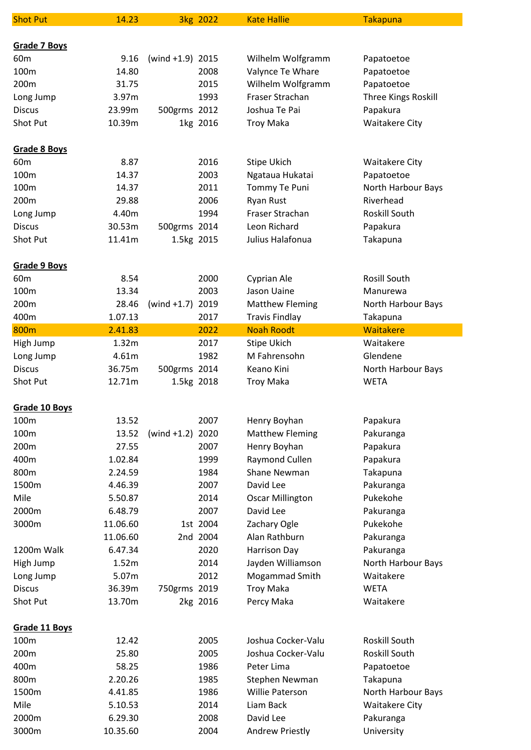| <b>Shot Put</b>           | 14.23                |                     | 3kg 2022             | <b>Kate Hallie</b>                    | <b>Takapuna</b>                 |
|---------------------------|----------------------|---------------------|----------------------|---------------------------------------|---------------------------------|
|                           |                      |                     |                      |                                       |                                 |
| Grade 7 Boys              |                      |                     |                      |                                       |                                 |
| 60 <sub>m</sub>           | 9.16                 | (wind $+1.9$ ) 2015 |                      | Wilhelm Wolfgramm                     | Papatoetoe                      |
| 100m                      | 14.80                |                     | 2008                 | Valynce Te Whare                      | Papatoetoe                      |
| 200m                      | 31.75                |                     | 2015                 | Wilhelm Wolfgramm                     | Papatoetoe                      |
| Long Jump                 | 3.97m                |                     | 1993                 | Fraser Strachan                       | Three Kings Roskill             |
| <b>Discus</b>             | 23.99m               | 500grms 2012        |                      | Joshua Te Pai                         | Papakura                        |
| Shot Put                  | 10.39m               |                     | 1kg 2016             | <b>Troy Maka</b>                      | <b>Waitakere City</b>           |
| Grade 8 Boys              |                      |                     |                      |                                       |                                 |
| 60 <sub>m</sub>           | 8.87                 |                     | 2016                 | Stipe Ukich                           | <b>Waitakere City</b>           |
| 100m                      | 14.37                |                     | 2003                 | Ngataua Hukatai                       | Papatoetoe                      |
| 100m                      | 14.37                |                     | 2011                 | Tommy Te Puni                         | North Harbour Bays              |
| 200m                      | 29.88                |                     | 2006                 | Ryan Rust                             | Riverhead                       |
| Long Jump                 | 4.40m                |                     | 1994                 | Fraser Strachan                       | <b>Roskill South</b>            |
| <b>Discus</b>             | 30.53m               | 500grms 2014        |                      | Leon Richard                          | Papakura                        |
| Shot Put                  | 11.41m               | 1.5kg 2015          |                      | Julius Halafonua                      | Takapuna                        |
| <b>Grade 9 Boys</b>       |                      |                     |                      |                                       |                                 |
| 60 <sub>m</sub>           | 8.54                 |                     | 2000                 | Cyprian Ale                           | Rosill South                    |
| 100m                      | 13.34                |                     | 2003                 | Jason Uaine                           | Manurewa                        |
| 200m                      | 28.46                | $(wind +1.7)$       | 2019                 | <b>Matthew Fleming</b>                | North Harbour Bays              |
| 400m                      | 1.07.13              |                     | 2017                 | <b>Travis Findlay</b>                 | Takapuna                        |
| 800m                      | 2.41.83              |                     | 2022                 | <b>Noah Roodt</b>                     | Waitakere                       |
| High Jump                 | 1.32m                |                     | 2017                 | Stipe Ukich                           | Waitakere                       |
| Long Jump                 | 4.61m                |                     | 1982                 | M Fahrensohn                          | Glendene                        |
| <b>Discus</b>             | 36.75m               | 500grms 2014        |                      | Keano Kini                            | North Harbour Bays              |
| Shot Put                  | 12.71m               | 1.5kg 2018          |                      | <b>Troy Maka</b>                      | <b>WETA</b>                     |
| Grade 10 Boys             |                      |                     |                      |                                       |                                 |
| 100m                      | 13.52                |                     | 2007                 | Henry Boyhan                          | Papakura                        |
| 100m                      | 13.52                | $(wind +1.2)$       | 2020                 | <b>Matthew Fleming</b>                | Pakuranga                       |
| 200m                      | 27.55                |                     | 2007                 | Henry Boyhan                          |                                 |
| 400m                      | 1.02.84              |                     | 1999                 |                                       | Papakura                        |
| 800m                      | 2.24.59              |                     | 1984                 | Raymond Cullen<br><b>Shane Newman</b> | Papakura                        |
| 1500m                     |                      |                     |                      | David Lee                             | Takapuna                        |
|                           | 4.46.39              |                     | 2007                 |                                       | Pakuranga                       |
| Mile<br>2000m             | 5.50.87<br>6.48.79   |                     | 2014<br>2007         | <b>Oscar Millington</b><br>David Lee  | Pukekohe                        |
|                           |                      |                     |                      |                                       | Pakuranga<br>Pukekohe           |
| 3000m                     | 11.06.60<br>11.06.60 |                     | 1st 2004<br>2nd 2004 | Zachary Ogle<br>Alan Rathburn         |                                 |
|                           |                      |                     |                      |                                       | Pakuranga                       |
| 1200m Walk                | 6.47.34<br>1.52m     |                     | 2020<br>2014         | Harrison Day                          | Pakuranga                       |
| High Jump                 | 5.07m                |                     | 2012                 | Jayden Williamson                     | North Harbour Bays<br>Waitakere |
| Long Jump                 |                      |                     |                      | Mogammad Smith                        | <b>WETA</b>                     |
| <b>Discus</b><br>Shot Put | 36.39m<br>13.70m     | 750grms 2019        | 2kg 2016             | <b>Troy Maka</b><br>Percy Maka        | Waitakere                       |
|                           |                      |                     |                      |                                       |                                 |
| Grade 11 Boys             |                      |                     |                      |                                       |                                 |
| 100m                      | 12.42                |                     | 2005                 | Joshua Cocker-Valu                    | Roskill South                   |
| 200m                      | 25.80                |                     | 2005                 | Joshua Cocker-Valu                    | <b>Roskill South</b>            |
| 400m                      | 58.25                |                     | 1986                 | Peter Lima                            | Papatoetoe                      |
| 800m                      | 2.20.26              |                     | 1985                 | Stephen Newman                        | Takapuna                        |
| 1500m                     | 4.41.85              |                     | 1986                 | <b>Willie Paterson</b>                | North Harbour Bays              |
| Mile                      | 5.10.53              |                     | 2014                 | Liam Back                             | <b>Waitakere City</b>           |
| 2000m                     | 6.29.30              |                     | 2008                 | David Lee                             | Pakuranga                       |
| 3000m                     | 10.35.60             |                     | 2004                 | Andrew Priestly                       | University                      |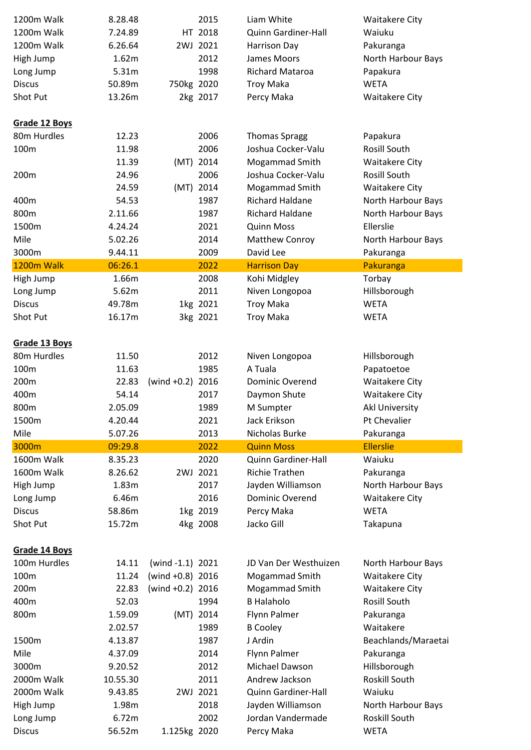| 1200m Walk    | 8.28.48  |                     | 2015      | Liam White             | <b>Waitakere City</b> |
|---------------|----------|---------------------|-----------|------------------------|-----------------------|
| 1200m Walk    | 7.24.89  |                     | HT 2018   | Quinn Gardiner-Hall    | Waiuku                |
| 1200m Walk    | 6.26.64  |                     | 2WJ 2021  | Harrison Day           | Pakuranga             |
| High Jump     | 1.62m    |                     | 2012      | James Moors            | North Harbour Bays    |
| Long Jump     | 5.31m    |                     | 1998      | <b>Richard Mataroa</b> | Papakura              |
| <b>Discus</b> | 50.89m   | 750kg 2020          |           | <b>Troy Maka</b>       | <b>WETA</b>           |
| Shot Put      | 13.26m   |                     | 2kg 2017  | Percy Maka             | <b>Waitakere City</b> |
| Grade 12 Boys |          |                     |           |                        |                       |
| 80m Hurdles   | 12.23    |                     | 2006      | <b>Thomas Spragg</b>   | Papakura              |
| 100m          | 11.98    |                     | 2006      | Joshua Cocker-Valu     | Rosill South          |
|               | 11.39    |                     | (MT) 2014 | Mogammad Smith         | <b>Waitakere City</b> |
| 200m          | 24.96    |                     | 2006      | Joshua Cocker-Valu     | Rosill South          |
|               | 24.59    |                     | (MT) 2014 | Mogammad Smith         | <b>Waitakere City</b> |
| 400m          | 54.53    |                     | 1987      | <b>Richard Haldane</b> | North Harbour Bays    |
| 800m          | 2.11.66  |                     | 1987      | Richard Haldane        | North Harbour Bays    |
| 1500m         | 4.24.24  |                     | 2021      | <b>Quinn Moss</b>      | Ellerslie             |
| Mile          | 5.02.26  |                     | 2014      | Matthew Conroy         | North Harbour Bays    |
| 3000m         | 9.44.11  |                     | 2009      | David Lee              | Pakuranga             |
| 1200m Walk    | 06:26.1  |                     | 2022      | <b>Harrison Day</b>    | Pakuranga             |
| High Jump     | 1.66m    |                     | 2008      | Kohi Midgley           | Torbay                |
| Long Jump     | 5.62m    |                     | 2011      | Niven Longopoa         | Hillsborough          |
| <b>Discus</b> | 49.78m   |                     | 1kg 2021  | <b>Troy Maka</b>       | <b>WETA</b>           |
| Shot Put      | 16.17m   |                     | 3kg 2021  | <b>Troy Maka</b>       | <b>WETA</b>           |
| Grade 13 Boys |          |                     |           |                        |                       |
| 80m Hurdles   | 11.50    |                     | 2012      | Niven Longopoa         | Hillsborough          |
| 100m          | 11.63    |                     | 1985      | A Tuala                | Papatoetoe            |
| 200m          | 22.83    | (wind $+0.2$ ) 2016 |           | Dominic Overend        | <b>Waitakere City</b> |
| 400m          | 54.14    |                     | 2017      | Daymon Shute           | <b>Waitakere City</b> |
| 800m          | 2.05.09  |                     | 1989      | M Sumpter              | Akl University        |
| 1500m         | 4.20.44  |                     | 2021      | Jack Erikson           | Pt Chevalier          |
| Mile          | 5.07.26  |                     | 2013      | Nicholas Burke         | Pakuranga             |
| 3000m         | 09:29.8  |                     | 2022      | <b>Quinn Moss</b>      | <b>Ellerslie</b>      |
| 1600m Walk    | 8.35.23  |                     | 2020      | Quinn Gardiner-Hall    | Waiuku                |
| 1600m Walk    | 8.26.62  |                     | 2WJ 2021  | <b>Richie Trathen</b>  | Pakuranga             |
| High Jump     | 1.83m    |                     | 2017      | Jayden Williamson      | North Harbour Bays    |
| Long Jump     | 6.46m    |                     | 2016      | Dominic Overend        | <b>Waitakere City</b> |
| <b>Discus</b> | 58.86m   |                     | 1kg 2019  | Percy Maka             | <b>WETA</b>           |
| Shot Put      | 15.72m   |                     | 4kg 2008  | Jacko Gill             | Takapuna              |
| Grade 14 Boys |          |                     |           |                        |                       |
| 100m Hurdles  | 14.11    | (wind $-1.1$ ) 2021 |           | JD Van Der Westhuizen  | North Harbour Bays    |
| 100m          | 11.24    | (wind $+0.8$ ) 2016 |           | Mogammad Smith         | <b>Waitakere City</b> |
| 200m          | 22.83    | (wind $+0.2$ ) 2016 |           | Mogammad Smith         | <b>Waitakere City</b> |
| 400m          | 52.03    |                     | 1994      | <b>B Halaholo</b>      | Rosill South          |
| 800m          | 1.59.09  |                     | (MT) 2014 | Flynn Palmer           | Pakuranga             |
|               | 2.02.57  |                     | 1989      | <b>B</b> Cooley        | Waitakere             |
| 1500m         | 4.13.87  |                     | 1987      | J Ardin                | Beachlands/Maraetai   |
| Mile          | 4.37.09  |                     | 2014      | Flynn Palmer           | Pakuranga             |
| 3000m         | 9.20.52  |                     | 2012      | Michael Dawson         | Hillsborough          |
| 2000m Walk    | 10.55.30 |                     | 2011      | Andrew Jackson         | Roskill South         |
| 2000m Walk    | 9.43.85  |                     | 2WJ 2021  | Quinn Gardiner-Hall    | Waiuku                |
| High Jump     | 1.98m    |                     | 2018      | Jayden Williamson      | North Harbour Bays    |
| Long Jump     | 6.72m    |                     | 2002      | Jordan Vandermade      | Roskill South         |
| <b>Discus</b> | 56.52m   | 1.125kg 2020        |           | Percy Maka             | <b>WETA</b>           |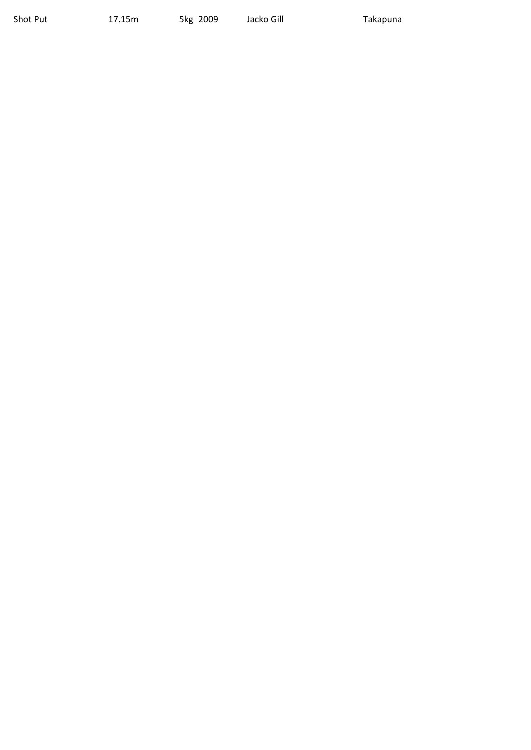Shot Put 17.15m 5kg 2009 Jacko Gill Takapuna